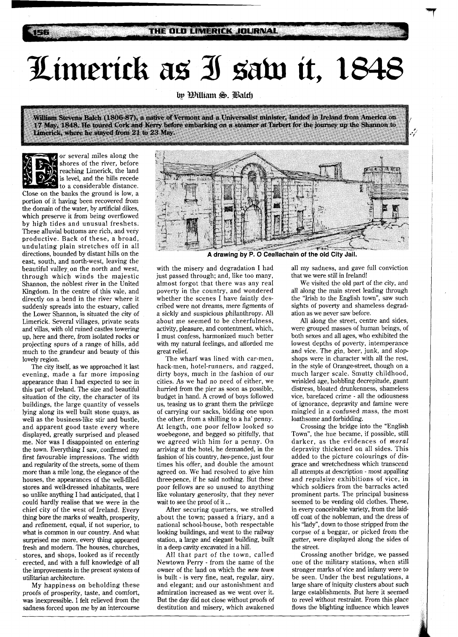## $\mathcal{I}$ imerick as J saw it, 1848

William Stevens Balch (1806-87), a native of Vermont and a Universalist minister, landed in Ireland from America on 17 May, 1848. He toured Cork and Kerry before embarking on a steamer at Tarbert for the journey up the Shannon to Limerick, where he stayed from 21 to 23 May.



or several miles along the shores of the river, before reaching Limerick, the land is level, and the hills recede to a considerable distance.

Close on the banks the ground is low, a portion of it having been recovered from the domain of the water, by artificial dikes, which preserve it from being overflowed by high tides and unusual freshets. These alluvial bottoms are rich, and very productive. Back of these, a broad, undulating plain stretches off in all directions, bounded by distant hills on the east, south, and north-west, leaving the beautiful valley on the north and west, through which winds the majestic Shannon, the noblest river in the United Kingdom. In the centre of this vale, and directly on a bend in the river where it suddenly spreads into the estuary, called the Lower Shannon, is situated the city of Limerick. Several villages, private seats and villas, with old ruined castles towering up, here and there, from isolated rocks or projecting spurs of a range of hills, add much to the grandeur and beauty of this lovely region.

The city itself, as we approached it last evening, made a far more imposing appearance than I had expected to see in this part of Ireland. The size and beautiful situation of the city, the character of its buildings, the large quantity of vessels lying along its well built stone quays, as well as the business-like stir and bustle, and apparent good taste every where displayed, greatly surprised and pleased me. Nor was 1 disappointed on entering the town. Everything I saw, confirmed my first favourable impressions. The width and regularity of the streets, some of them more than a mile long, the elegance of the houses, the appearances of the well-filled stores and well-dressed inhabitants, were so unlike anything I had anticipated, that I could hardly realise that we were in the chief city of the west of Ireland. Every thing bore the marks of wealth, prosperity, and refinement, equal, if not superior, to what is common in our country. And what surprised me more, every thing appeared fresh and modern. The houses, churches, stores, and shops, looked as if recently erected, and with a full knowledge of all the improvements in the present system of utilitarian architecture.

My happiness on beholding these proofs of prosperity, taste, and comfort, was inexpressible. I felt relieved from the sadness forced upon me by an intercourse



A drawing by P. O Ceallachain of the old City Jail.

with the misery and degradation I had just passed through; and, like too many, almost forgot that there was any real poverty in the country, and wondered whether the scenes I have faintly described were not dreams, mere figments of a sickly and suspicious philanthropy. All about me seemed to be cheerfulness, activity, pleasure, and contentment, which, I must confess, harmonized much better with my natural feelings, and afforded me great relief.

The wharf was lined with car-men, hack-men, hotel-runners, and ragged, dirty boys, much in the fashion of our cities. As we had no need of either, we hurried from the pier as soon as possible, budget in hand. A crowd of boys followed us, teasing us to grant them the privilege of carrying our sacks, bidding one upon the other, from a shilling to a ha' penny. At length, one poor fellow looked so woebegone, and begged so pitifully, that we agreed with him for a penny. On arriving at the hotel, he demanded, in the fashion of his country, two-pence, just four times his offer, and double the amount agreed on. We had resolved to give him three-pence, if he said nothing. But these poor fellows are so unused to anything like voluntary generosity, that they never wait to see the proof of it ...

After securing quarters, we strolled about the town; passed a friary, and a national school-house, both respectable looking buildings, and went to the railway station, a large and elegant building, built in a deep cavity excavated in a hill.

All that part of the town, called Newtown Perry - from the name of the owner of the land on which the new town is built - is very fine, neat, regular, airy, and elegant; and our astonishment and admiration increased as we went over it. But the day did not close without proofs of destitution and misery, which awakened all my sadness, and gave full conviction that we were still in Ireland!

We visited the old part of the city, and all along the main street leading through the "Irish to the English town", saw such sights of poverty and shameless degradation as we never saw before.

All along the street, centre and sides, were grouped masses of human beings, of both sexes and all ages, who exhibited the lowest depths of poverty, intemperance and vice. The gin, beer, junk, and slopshops were in character with all the rest, in the style of Orange-street, though on a much larger scale. Smutty childhood, wrinkled age, hobbling decrepitude, gaunt distress, bloated drunkenness, shameless vice, barefaced crime - all the odiousness of ignorance, depravity and famine were mingled in a confused mass, the most loathsome and forbidding.

Crossing the bridge into the "English Town", the hue became, if possible, still darker, as the evidences of moral depravity thickened on all sides. This added to the picture colourings of disgrace and wretchedness which transcend all attempts at description - most appalling and repulsive exhibitions of vice, in which soldiers from the barracks acted prominent parts. The principal business seemed to be vending old clothes. These, in every conceivable variety, from the laidoff coat of the nobleman, and the dress of his "lady", down to those stripped from the corpse of a beggar, or picked from the gutter, were displayed along the sides of the street.

Crossing another bridge, we passed one of the military stations, when still stronger marks of vice and infamy were to be seen. Under the best regulations, a large share of iniquity clusters about such large establishments. But here it seemed to revel without restraint. From this place flows the blighting influence which leaves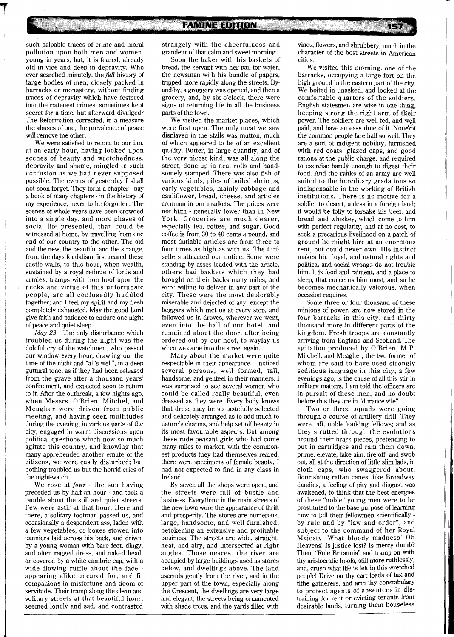such palpable traces of crime and moral pollution upon both men and women, young in years, but, it is feared, already old in vice and deep'in depravity. Who ever searched minutely, the *fill* history of large bodies of men, closely packed in barracks or monastery, without finding traces of depravity which have festered into the rottenest crimes; sometimes kept secret for a time, but afterward divulged? The Reformation corrected, in a measure the abuses of one, the prevalence of peace will remove the other.

We were satisfied to return to our inn, at an early hour, having looked upon scenes of beauty and wretchedness, depravity and shame, mingled in such confusion as we had never supposed possible. The events of yesterday I shall not soon forget. They form a chapter - nay a book of many chapters - in the history of my experience, never to be forgotten. The scenes of whole years have been crowded into a single day, and more phases of social life presented, than could be witnessed at home, by travelling from one end of our country to the other. The old and the new, the beautiful and the strange, from the days feudalism first reared these castle walls, to this hour, when wealth, sustained by a royal retinue of lords and armies, tramps with iron hoof upon the necks and virtue of this unfortunate people, are all confusedly huddled together; and I feel my spirit and my flesh completely exhausted. May the good Lord give faith and patience to endure one night of peace and quiet sleep.

May 23 - The only disturbance which troubled us during the night was the doleful cry of the watchmen, who passed our window every hour, drawling out the time of the night and "all's well", in a deep guttural tone, as if they had been released from the grave after a thousand years' confinement, and expected soon to return to it. After the outbreak, a few nights ago, when Messrs. O'Brien, Mitchel, and Meagher were driven from public meeting, and having seen multitudes during the evening, in various parts of the city, engaged in warm discussions upon political questions which now so much agitate this country, and knowing that many apprehended another emute of the citizens, we were easily disturbed; but nothing troubled us but the horrid cries of the night-watch.

We rose at **four** - the sun having preceded us by half an hour - and took a ramble about the still and quiet streets. Few were astir at that hour. Here and there, a solitary footman passed us, and occasionally a despondent ass, laden with a few vegetables, or boxes stowed into panniers laid across his back, and driven by a young woman with bare feet, dingy, and often ragged dress, and naked head, or covered by a white cambric cap, with a wide flowing ruffle about the face appearing alike uncared for, and fit companions in misfortune and doom of servitude. Their tramp along the clean and solitary streets at that beautiful hour, seemed lonely and sad, and contrasted

strangely with the cheerfulness and grandeur of that calm and sweet morning.

Soon the baker with his baskets of bread, the servant with her pail for water, the newsman with his bundle of papers, tripped more rapidly along the streets. Byand-by, a groggery was opened, and then a grocery, and, by six o'clock, there were signs of returning life in all the business parts of the town.

We visited the market places, which were first open. The only meat we saw displayed in the stalls was mutton, much of which appeared to be of an excellent quality. Butter, in large quantity, and of the very nicest kind, was all along the street, done up in neat rolls and handsomely stamped. There was also fish of various kinds, piles of boiled shrimps, early vegetables, mainly cabbage and cauliflower, bread, cheese, and articles common in our markets. The prices were not high - generally lower than in New York. Groceries are much dearer, especially tea, coffee, and sugar. Good coffee is from 30 to 40 cents a pound, and most dutiable articles are from three to four times as high as with us. The turfsellers attracted our notice. Some were standing by asses loaded with the article, others had baskets which they had brought on their backs many miles, and were willing to deliver in any part of the city. These were the most deplorably miserable and dejected of any, except the beggars which met us at every step, and followed us in droves, wherever we went, even into the hall of our hotel, and remained about the door, after being ordered out by our host, to waylay us when we came into the street again.

Many about the market were quite respectable in their appearance. I noticed several persons, well formed, tall, handsome, and genteel in their manners. I was surprised to see several women who could be called really beautiful, even dressed as they were. Every body knows that dress may be so tastefully selected and delicately arranged as to add much to nature's charms, and help set off beauty in its most favourable aspects. But among these rude peasant girls who had come many miles to market, with the commonest products they had themselves reared, there were specimens of female beauty, I had not expected to find in any class in Ireland.

By seven all the shops were open, and the streets were full of bustle and business. Everything in the main streets of the new town wore the appearance of thrift and prosperity. The stores are numerous, large, handsome, and well furnished, betokening an extensive and profitable business. The streets are wide, straight, neat, and airy, and intersected at right angles. Those nearest the river are occupied by large buildings used as stores below, and dwellings above. The land ascends gently from the river, and in the upper part of the town, especially along the Crescent, the dwellings are very large and elegant, the streets being ornamented with shade trees, and the yards filled with

vines, flowers, and shrubbery, much in the character of the best streets in American cities.

We visited this morning, one of the barracks, occupying a large fort on the high ground in the eastern part of the city. We bolted in unasked, and looked at the comfortable quarters of the soldiers. English statesmen are wise in one thing, keeping strong the right arm of tbeir power. The soldiers are well fed, and well paid, and have an easy time of it. None of the common people fare half so well. They are a sort of indigent nobility, furnished with red coats, glazed caps, and good rations at the public charge, and required to exercise barely enough to digest their food. And the ranks of an army are well suited to the hereditary gradations so indispensable in the working of British institutions. There is no motive for a soldier to desert, unless in a foreign land; it would be folly to forsake his beef, and bread, and whiskey, which come to him with perfect regularity, and at no cost, to seek a precarious livelihood on a patch of ground he might hire at an enormous rent, but could never own. His instinct makes him loyal, and natural rights and political and social wrongs do not trouble him. It is food and raiment, and a place to sleep, that concerns him most, and so he becomes mechanically valorous, when occasion requires.

Some three or four thousand of these minions of power, are now stored in the four barracks in this city, and thirty thousand more in different parts of the kingdom. Fresh troops are constantly arriving from England and Scotland. The agitation produced by O'Brien, M.P. Mitchell, and Meagher, the two former of whom are said to have used strongly seditious language in this city, a few evenings ago, is the cause of all this stir in military matters. I am told the officers are in pursuit of these men, and no doubt before this they are in "durance vile". ...

Two or three squads were going through a course of artillery drill. They were tall, noble looking fellows; and as they strutted through the evolutions around their brass pieces, pretending to put in cartridges and ram them down, prime, elevate, take aim, fire off, and swob out, all at the direction of little slim lads, in cloth caps, who swaggered about, flourishing rattan canes, like Broadway dandies, a feeling of pity and disgust was awakened, to think that the best energies of these "noble" young men were to be prostituted to the base purpose of learning how to kill their fellowmen scientifically by rule and by "law and order", and subject to the command of her Royal Majesty. What bloody madness! Oh Heavens! Is justice lost? Is mercy dumb? Then, "Rule Britannia" and tramp on with thy aristocratic hoofs, still more ruthlessly, and, crush what life is left in this wretched people! Drive on thy cart loads of **tax** and tithe gatherers, and arm thy constabulary to protect agents of absentees in distraining for rent or evicting tenants from desirable lands, turning them houseless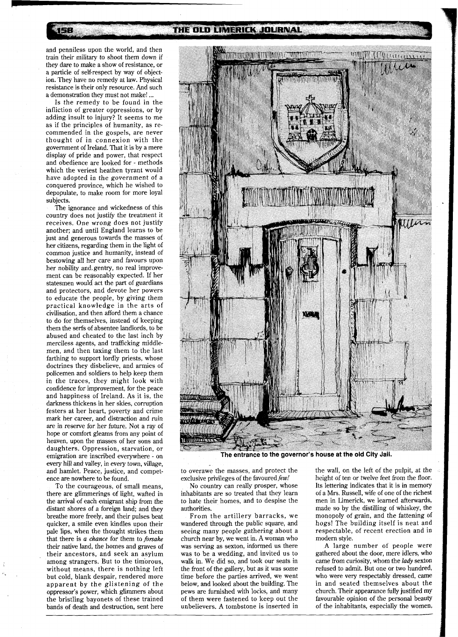158

## THE OLD LIMERICK JOURNAL

and penniless upon the world, and then train their military to shoot them down if they dare to make a show of resistance, or a particle of self-respect by way of objection. They have no remedy at law. Physical resistance is their only resource. And such a demonstration they must not make! ...

Is the remedy to be found in the infliction of greater oppressions, or by adding insult to injury? It seems to me as if the principles of humanity, as recommended in the gospels, are never thought of in connexion with the government of Ireland. That it is by a mere display of pride and power, that respect and obedience are looked for - methods which the veriest heathen tyrant would have adopted in the government of a conquered province, which he wished to depopulate, to make room for more loyal subjects.

The ignorance and wickedness of this country does not justify the treatment it receives. One wrong does not justify another; and until England learns to be just and generous towards the masses of her citizens, regarding them in the light of common justice and humanity, instead of bestowing all her care and favours upon her nobility and, gentry, no real improvement can be reasonably expected. If her statesmen would act the part of guardians and protectors, and devote her powers to educate the people, by giving them practical knowledge in the arts of civilisation, and then afford them a chance to do for themselves, instead of keeping them the serfs of absentee landlords, to be abused and cheated to the last inch by merciless agents, and trafficking middlemen, and then taxing them to the last farthing to support lordly priests, whose doctrines they disbelieve, and armies of policemen and soldiers to help keep them in the traces, they might look with confidence for improvement, for the peace and happiness of Ireland. As it is, the darkness thickens in her skies, corruption festers at her heart, poverty and crime mark her career, and distraction and ruin are in reserve for her future. Not a ray of hope or comfort gleams from any point of heaven, upon the masses of her sons and daughters. Oppression, starvation, or emigration are inscribed everywhere - on every hill and valley, in every town, village, and hamlet. Peace, justice, and competence are nowhere to be found.

To the courageous, of small means, there are glimmerings of light, wafted in the arrival of each emigrant ship from the distant shores of a foreign land; and they breathe more freely, and their pulses beat quicker, a smile even kindles upon their pale lips, when the thought strikes them that there is a *chance* for them to *forsake*  their native land, the homes and graves of their ancestors, and seek an asylum among strangers. But to the timorous, without means, there is nothing left but cold, blank despair, rendered more apparent by the glistening of the oppressor's power, which glimmers about the bristling bayonets of these trained bands of death and destruction, sent here



The entrance to the governor's house at the old City Jail.

to overawe the masses, and protect the exclusive privileges of the favoured *few!* 

No country can really prosper, whose inhabitants are so treated that they learn to hate their homes, and to despise the authorities.

From the artillery barracks, we wandered through the public square, and seeing many people gathering about a church near by, we went in. A woman who was serving as sexton, informed us there was to be a wedding, and invited us to walk in. We did so, and took our seats in the front of the gallery, but as it was some time before the parties arrived, we went below, and looked about the building. The pews are furnished with locks, and many of them were fastened to keep out the unbelievers. A tombstone is inserted in the wall, on the left of the pulpit, at the height of ten or twelve feet from the floor. Its lettering indicates that it is in memory of a Mrs. Russell, wife of one of the richest men in Limerick, we learned afterwards, made so by the distilling of whiskey, the monopoly of grain, and the fattening of hogs! The building itself is neat and respectable, of recent erection and in modern style.

A large number of people were gathered about the door, mere idlers, who came from curiosity, whom the *lady* sexton refused to admit. But one or two hundred, who were very respectably dressed, came in and seated themselves about the church. Their appearance fully justified my favourable opinion of the personal beauty of the inhabitants, especially the women,